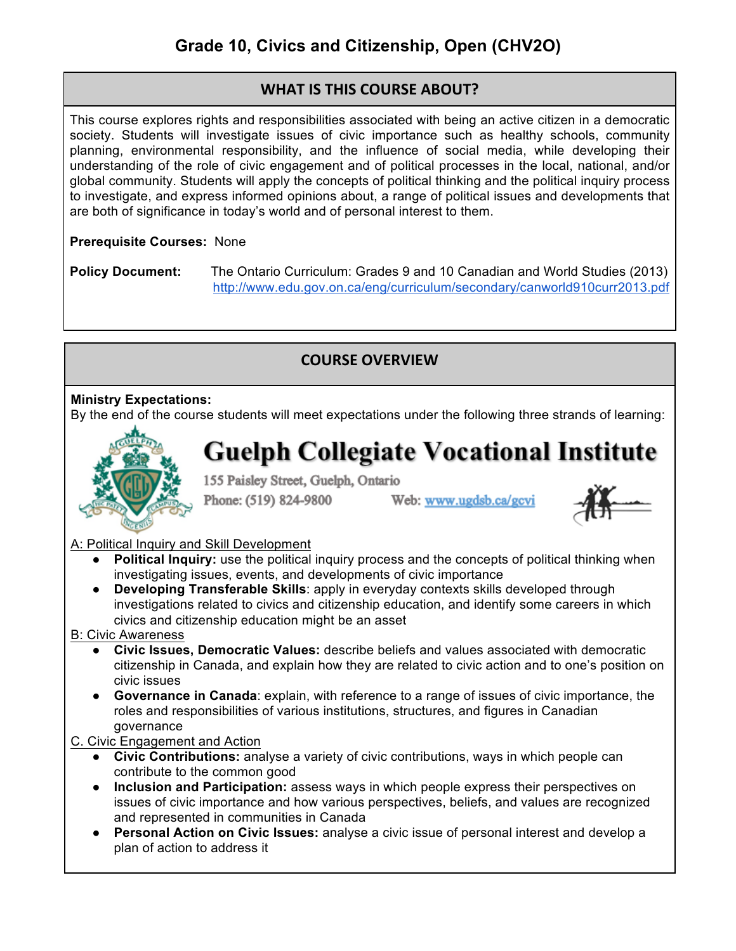# **WHAT IS THIS COURSE ABOUT?**

This course explores rights and responsibilities associated with being an active citizen in a democratic society. Students will investigate issues of civic importance such as healthy schools, community planning, environmental responsibility, and the influence of social media, while developing their understanding of the role of civic engagement and of political processes in the local, national, and/or global community. Students will apply the concepts of political thinking and the political inquiry process to investigate, and express informed opinions about, a range of political issues and developments that are both of significance in today's world and of personal interest to them.

## **Prerequisite Courses:** None

**Policy Document:** The Ontario Curriculum: Grades 9 and 10 Canadian and World Studies (2013) http://www.edu.gov.on.ca/eng/curriculum/secondary/canworld910curr2013.pdf

# **COURSE OVERVIEW**

## **Ministry Expectations:**

By the end of the course students will meet expectations under the following three strands of learning:



# **Guelph Collegiate Vocational Institute**

155 Paisley Street, Guelph, Ontario

Phone: (519) 824-9800

Web: www.ugdsb.ca/gcvi



## A: Political Inquiry and Skill Development

- **Political Inquiry:** use the political inquiry process and the concepts of political thinking when investigating issues, events, and developments of civic importance
- **Developing Transferable Skills**: apply in everyday contexts skills developed through investigations related to civics and citizenship education, and identify some careers in which civics and citizenship education might be an asset

#### B: Civic Awareness

- **Civic Issues, Democratic Values:** describe beliefs and values associated with democratic citizenship in Canada, and explain how they are related to civic action and to one's position on civic issues
- **Governance in Canada**: explain, with reference to a range of issues of civic importance, the roles and responsibilities of various institutions, structures, and figures in Canadian governance
- C. Civic Engagement and Action
	- **Civic Contributions:** analyse a variety of civic contributions, ways in which people can contribute to the common good
	- **Inclusion and Participation:** assess ways in which people express their perspectives on issues of civic importance and how various perspectives, beliefs, and values are recognized and represented in communities in Canada
	- **Personal Action on Civic Issues:** analyse a civic issue of personal interest and develop a plan of action to address it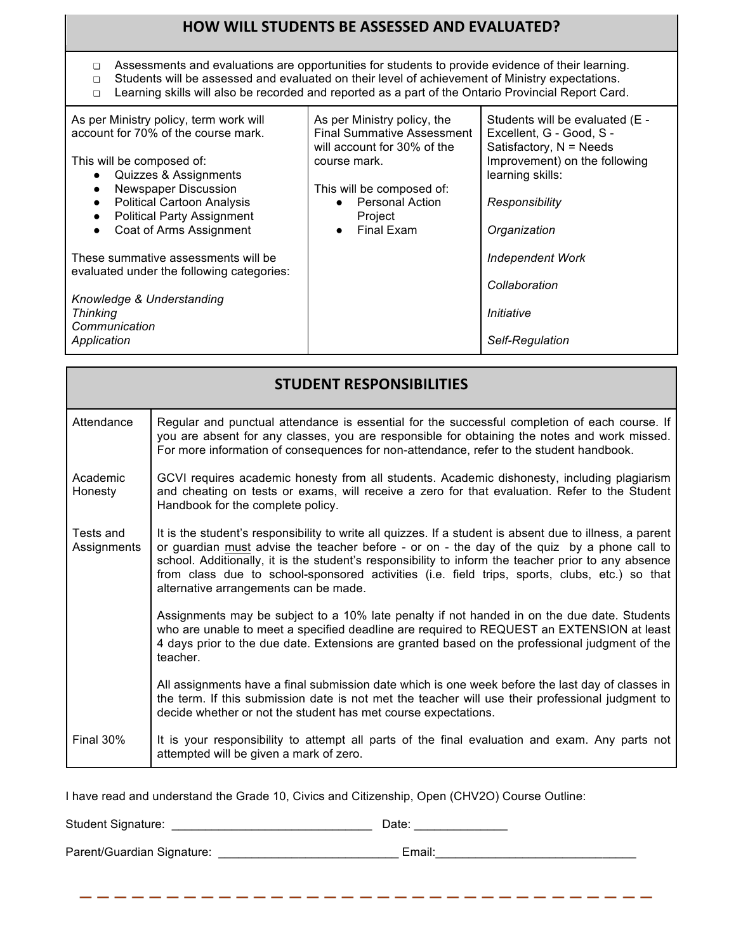### **HOW WILL STUDENTS BE ASSESSED AND EVALUATED?**

- ❏ Assessments and evaluations are opportunities for students to provide evidence of their learning.
- ❏ Students will be assessed and evaluated on their level of achievement of Ministry expectations.
- ❏ Learning skills will also be recorded and reported as a part of the Ontario Provincial Report Card.

| As per Ministry policy, term work will<br>account for 70% of the course mark.                    | As per Ministry policy, the<br><b>Final Summative Assessment</b><br>will account for 30% of the | Students will be evaluated (E -<br>Excellent, G - Good, S -<br>Satisfactory, N = Needs |
|--------------------------------------------------------------------------------------------------|-------------------------------------------------------------------------------------------------|----------------------------------------------------------------------------------------|
| This will be composed of:<br>Quizzes & Assignments<br>$\bullet$                                  | course mark.                                                                                    | Improvement) on the following<br>learning skills:                                      |
| Newspaper Discussion<br>$\bullet$                                                                | This will be composed of:                                                                       |                                                                                        |
| <b>Political Cartoon Analysis</b><br>$\bullet$<br><b>Political Party Assignment</b><br>$\bullet$ | <b>Personal Action</b><br>$\bullet$<br>Project                                                  | Responsibility                                                                         |
| Coat of Arms Assignment<br>$\bullet$                                                             | Final Exam<br>$\bullet$                                                                         | Organization                                                                           |
| These summative assessments will be<br>evaluated under the following categories:                 |                                                                                                 | <b>Independent Work</b>                                                                |
|                                                                                                  |                                                                                                 | Collaboration                                                                          |
| Knowledge & Understanding<br><b>Thinking</b><br>Communication                                    |                                                                                                 | Initiative                                                                             |
| Application                                                                                      |                                                                                                 | Self-Regulation                                                                        |

| <b>STUDENT RESPONSIBILITIES</b> |                                                                                                                                                                                                                                                                                                                                                                                                                                                          |  |
|---------------------------------|----------------------------------------------------------------------------------------------------------------------------------------------------------------------------------------------------------------------------------------------------------------------------------------------------------------------------------------------------------------------------------------------------------------------------------------------------------|--|
| Attendance                      | Regular and punctual attendance is essential for the successful completion of each course. If<br>you are absent for any classes, you are responsible for obtaining the notes and work missed.<br>For more information of consequences for non-attendance, refer to the student handbook.                                                                                                                                                                 |  |
| Academic<br>Honesty             | GCVI requires academic honesty from all students. Academic dishonesty, including plagiarism<br>and cheating on tests or exams, will receive a zero for that evaluation. Refer to the Student<br>Handbook for the complete policy.                                                                                                                                                                                                                        |  |
| Tests and<br>Assignments        | It is the student's responsibility to write all quizzes. If a student is absent due to illness, a parent<br>or guardian must advise the teacher before - or on - the day of the quiz by a phone call to<br>school. Additionally, it is the student's responsibility to inform the teacher prior to any absence<br>from class due to school-sponsored activities (i.e. field trips, sports, clubs, etc.) so that<br>alternative arrangements can be made. |  |
|                                 | Assignments may be subject to a 10% late penalty if not handed in on the due date. Students<br>who are unable to meet a specified deadline are required to REQUEST an EXTENSION at least<br>4 days prior to the due date. Extensions are granted based on the professional judgment of the<br>teacher.                                                                                                                                                   |  |
|                                 | All assignments have a final submission date which is one week before the last day of classes in<br>the term. If this submission date is not met the teacher will use their professional judgment to<br>decide whether or not the student has met course expectations.                                                                                                                                                                                   |  |
| <b>Final 30%</b>                | It is your responsibility to attempt all parts of the final evaluation and exam. Any parts not<br>attempted will be given a mark of zero.                                                                                                                                                                                                                                                                                                                |  |

I have read and understand the Grade 10, Civics and Citizenship, Open (CHV2O) Course Outline:

Student Signature: \_\_\_\_\_\_\_\_\_\_\_\_\_\_\_\_\_\_\_\_\_\_\_\_\_\_\_\_\_\_ Date: \_\_\_\_\_\_\_\_\_\_\_\_\_\_

Parent/Guardian Signature: \_\_\_\_\_\_\_\_\_\_\_\_\_\_\_\_\_\_\_\_\_\_\_\_\_\_\_ Email:\_\_\_\_\_\_\_\_\_\_\_\_\_\_\_\_\_\_\_\_\_\_\_\_\_\_\_\_\_\_

----------------